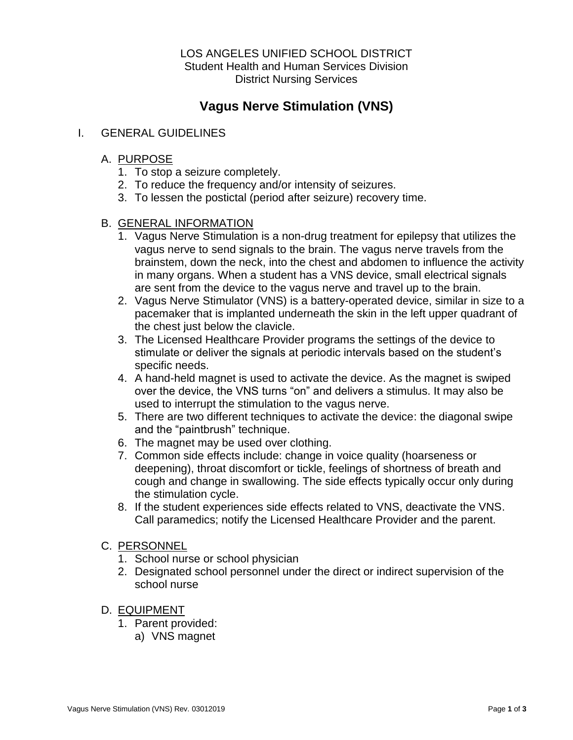### LOS ANGELES UNIFIED SCHOOL DISTRICT Student Health and Human Services Division District Nursing Services

# **Vagus Nerve Stimulation (VNS)**

## I. GENERAL GUIDELINES

# A. PURPOSE

- 1. To stop a seizure completely.
- 2. To reduce the frequency and/or intensity of seizures.
- 3. To lessen the postictal (period after seizure) recovery time.

# B. GENERAL INFORMATION

- 1. Vagus Nerve Stimulation is a non-drug treatment for epilepsy that utilizes the vagus nerve to send signals to the brain. The vagus nerve travels from the brainstem, down the neck, into the chest and abdomen to influence the activity in many organs. When a student has a VNS device, small electrical signals are sent from the device to the vagus nerve and travel up to the brain.
- 2. Vagus Nerve Stimulator (VNS) is a battery-operated device, similar in size to a pacemaker that is implanted underneath the skin in the left upper quadrant of the chest just below the clavicle.
- 3. The Licensed Healthcare Provider programs the settings of the device to stimulate or deliver the signals at periodic intervals based on the student's specific needs.
- 4. A hand-held magnet is used to activate the device. As the magnet is swiped over the device, the VNS turns "on" and delivers a stimulus. It may also be used to interrupt the stimulation to the vagus nerve.
- 5. There are two different techniques to activate the device: the diagonal swipe and the "paintbrush" technique.
- 6. The magnet may be used over clothing.
- 7. Common side effects include: change in voice quality (hoarseness or deepening), throat discomfort or tickle, feelings of shortness of breath and cough and change in swallowing. The side effects typically occur only during the stimulation cycle.
- 8. If the student experiences side effects related to VNS, deactivate the VNS. Call paramedics; notify the Licensed Healthcare Provider and the parent.

### C. PERSONNEL

- 1. School nurse or school physician
- 2. Designated school personnel under the direct or indirect supervision of the school nurse

### D. EQUIPMENT

- 1. Parent provided:
	- a) VNS magnet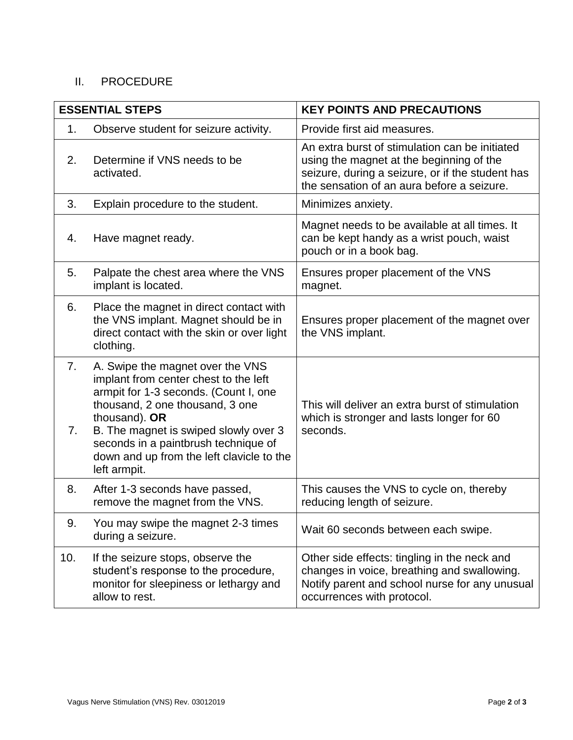# II. PROCEDURE

| <b>ESSENTIAL STEPS</b> |                                                                                                                                                                                                                                                                                                                      | <b>KEY POINTS AND PRECAUTIONS</b>                                                                                                                                                            |
|------------------------|----------------------------------------------------------------------------------------------------------------------------------------------------------------------------------------------------------------------------------------------------------------------------------------------------------------------|----------------------------------------------------------------------------------------------------------------------------------------------------------------------------------------------|
| 1.                     | Observe student for seizure activity.                                                                                                                                                                                                                                                                                | Provide first aid measures.                                                                                                                                                                  |
| 2.                     | Determine if VNS needs to be<br>activated.                                                                                                                                                                                                                                                                           | An extra burst of stimulation can be initiated<br>using the magnet at the beginning of the<br>seizure, during a seizure, or if the student has<br>the sensation of an aura before a seizure. |
| 3.                     | Explain procedure to the student.                                                                                                                                                                                                                                                                                    | Minimizes anxiety.                                                                                                                                                                           |
| 4.                     | Have magnet ready.                                                                                                                                                                                                                                                                                                   | Magnet needs to be available at all times. It<br>can be kept handy as a wrist pouch, waist<br>pouch or in a book bag.                                                                        |
| 5.                     | Palpate the chest area where the VNS<br>implant is located.                                                                                                                                                                                                                                                          | Ensures proper placement of the VNS<br>magnet.                                                                                                                                               |
| 6.                     | Place the magnet in direct contact with<br>the VNS implant. Magnet should be in<br>direct contact with the skin or over light<br>clothing.                                                                                                                                                                           | Ensures proper placement of the magnet over<br>the VNS implant.                                                                                                                              |
| 7 <sub>1</sub><br>7.   | A. Swipe the magnet over the VNS<br>implant from center chest to the left<br>armpit for 1-3 seconds. (Count I, one<br>thousand, 2 one thousand, 3 one<br>thousand). OR<br>B. The magnet is swiped slowly over 3<br>seconds in a paintbrush technique of<br>down and up from the left clavicle to the<br>left armpit. | This will deliver an extra burst of stimulation<br>which is stronger and lasts longer for 60<br>seconds.                                                                                     |
| 8.                     | After 1-3 seconds have passed,<br>remove the magnet from the VNS.                                                                                                                                                                                                                                                    | This causes the VNS to cycle on, thereby<br>reducing length of seizure.                                                                                                                      |
| 9.                     | You may swipe the magnet 2-3 times<br>during a seizure.                                                                                                                                                                                                                                                              | Wait 60 seconds between each swipe.                                                                                                                                                          |
| 10.                    | If the seizure stops, observe the<br>student's response to the procedure,<br>monitor for sleepiness or lethargy and<br>allow to rest.                                                                                                                                                                                | Other side effects: tingling in the neck and<br>changes in voice, breathing and swallowing.<br>Notify parent and school nurse for any unusual<br>occurrences with protocol.                  |